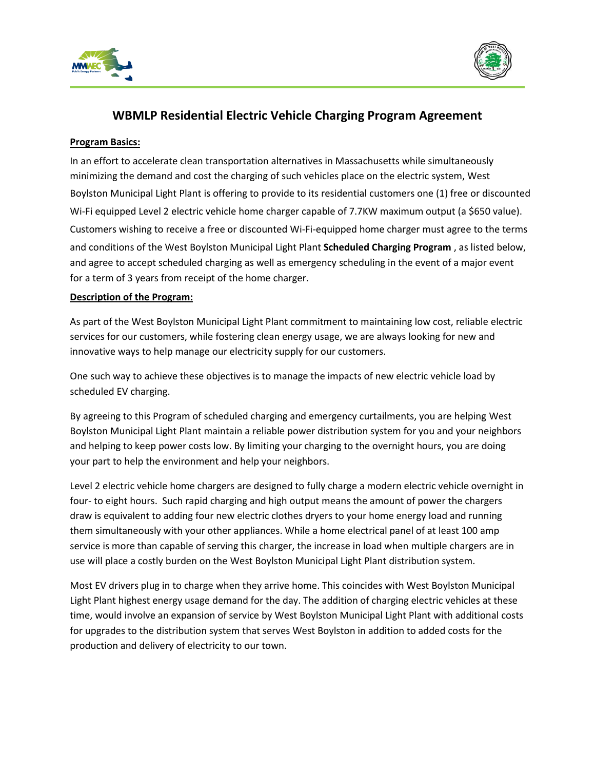



# **WBMLP Residential Electric Vehicle Charging Program Agreement**

#### **Program Basics:**

 Wi-Fi equipped Level 2 electric vehicle home charger capable of 7.7KW maximum output (a \$650 value). Customers wishing to receive a free or discounted Wi-Fi-equipped home charger must agree to the terms and agree to accept scheduled charging as well as emergency scheduling in the event of a major event In an effort to accelerate clean transportation alternatives in Massachusetts while simultaneously minimizing the demand and cost the charging of such vehicles place on the electric system, West Boylston Municipal Light Plant is offering to provide to its residential customers one (1) free or discounted and conditions of the West Boylston Municipal Light Plant **Scheduled Charging Program** , as listed below, for a term of 3 years from receipt of the home charger.

### **Description of the Program:**

As part of the West Boylston Municipal Light Plant commitment to maintaining low cost, reliable electric services for our customers, while fostering clean energy usage, we are always looking for new and innovative ways to help manage our electricity supply for our customers.

 One such way to achieve these objectives is to manage the impacts of new electric vehicle load by scheduled EV charging.

 By agreeing to this Program of scheduled charging and emergency curtailments, you are helping West Boylston Municipal Light Plant maintain a reliable power distribution system for you and your neighbors and helping to keep power costs low. By limiting your charging to the overnight hours, you are doing your part to help the environment and help your neighbors.

 four- to eight hours. Such rapid charging and high output means the amount of power the chargers Level 2 electric vehicle home chargers are designed to fully charge a modern electric vehicle overnight in draw is equivalent to adding four new electric clothes dryers to your home energy load and running them simultaneously with your other appliances. While a home electrical panel of at least 100 amp service is more than capable of serving this charger, the increase in load when multiple chargers are in use will place a costly burden on the West Boylston Municipal Light Plant distribution system.

 Light Plant highest energy usage demand for the day. The addition of charging electric vehicles at these for upgrades to the distribution system that serves West Boylston in addition to added costs for the production and delivery of electricity to our town. Most EV drivers plug in to charge when they arrive home. This coincides with West Boylston Municipal time, would involve an expansion of service by West Boylston Municipal Light Plant with additional costs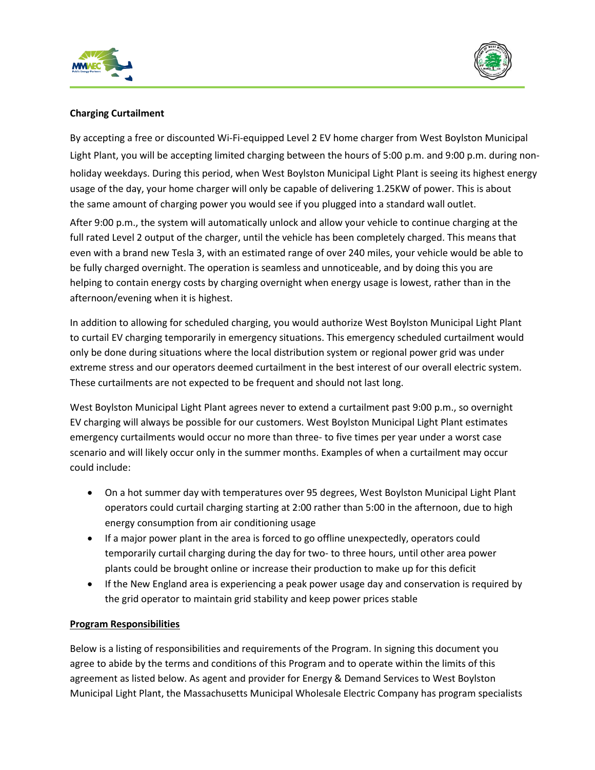



# **Charging Curtailment**

 Light Plant, you will be accepting limited charging between the hours of 5:00 p.m. and 9:00 p.m. during non- holiday weekdays. During this period, when West Boylston Municipal Light Plant is seeing its highest energy the same amount of charging power you would see if you plugged into a standard wall outlet. By accepting a free or discounted Wi-Fi-equipped Level 2 EV home charger from West Boylston Municipal usage of the day, your home charger will only be capable of delivering 1.25KW of power. This is about

 full rated Level 2 output of the charger, until the vehicle has been completely charged. This means that even with a brand new Tesla 3, with an estimated range of over 240 miles, your vehicle would be able to be fully charged overnight. The operation is seamless and unnoticeable, and by doing this you are helping to contain energy costs by charging overnight when energy usage is lowest, rather than in the After 9:00 p.m., the system will automatically unlock and allow your vehicle to continue charging at the afternoon/evening when it is highest.

 to curtail EV charging temporarily in emergency situations. This emergency scheduled curtailment would In addition to allowing for scheduled charging, you would authorize West Boylston Municipal Light Plant only be done during situations where the local distribution system or regional power grid was under extreme stress and our operators deemed curtailment in the best interest of our overall electric system. These curtailments are not expected to be frequent and should not last long.

 West Boylston Municipal Light Plant agrees never to extend a curtailment past 9:00 p.m., so overnight EV charging will always be possible for our customers. West Boylston Municipal Light Plant estimates emergency curtailments would occur no more than three- to five times per year under a worst case scenario and will likely occur only in the summer months. Examples of when a curtailment may occur could include:

- On a hot summer day with temperatures over 95 degrees, West Boylston Municipal Light Plant operators could curtail charging starting at 2:00 rather than 5:00 in the afternoon, due to high energy consumption from air conditioning usage
- temporarily curtail charging during the day for two- to three hours, until other area power plants could be brought online or increase their production to make up for this deficit • If a major power plant in the area is forced to go offline unexpectedly, operators could
- If the New England area is experiencing a peak power usage day and conservation is required by the grid operator to maintain grid stability and keep power prices stable

## **Program Responsibilities**

 Below is a listing of responsibilities and requirements of the Program. In signing this document you agree to abide by the terms and conditions of this Program and to operate within the limits of this agreement as listed below. As agent and provider for Energy & Demand Services to West Boylston Municipal Light Plant, the Massachusetts Municipal Wholesale Electric Company has program specialists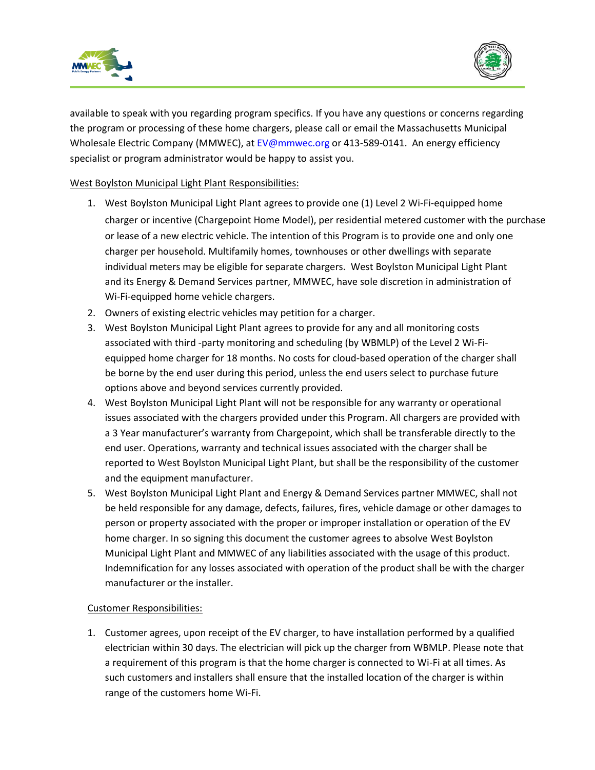



 available to speak with you regarding program specifics. If you have any questions or concerns regarding the program or processing of these home chargers, please call or email the Massachusetts Municipal Wholesale Electric Company (MMWEC), a[t EV@mmwec.org](mailto:EV@mmwec.org) or 413-589-0141. An energy efficiency specialist or program administrator would be happy to assist you.

West Boylston Municipal Light Plant Responsibilities:

- specialist or program administrator would be happy to assist you.<br>West Boylston Municipal Light Plant Responsibilities:<br>1. West Boylston Municipal Light Plant agrees to provide one (1) Level 2 Wi-Fi-equipped home charger or incentive (Chargepoint Home Model), per residential metered customer with the purchase or lease of a new electric vehicle. The intention of this Program is to provide one and only one charger per household. Multifamily homes, townhouses or other dwellings with separate individual meters may be eligible for separate chargers. West Boylston Municipal Light Plant and its Energy & Demand Services partner, MMWEC, have sole discretion in administration of Wi-Fi-equipped home vehicle chargers.
	- 2. Owners of existing electric vehicles may petition for a charger.
	- associated with third -party monitoring and scheduling (by WBMLP) of the Level 2 Wi-Fi-3. West Boylston Municipal Light Plant agrees to provide for any and all monitoring costs equipped home charger for 18 months. No costs for cloud-based operation of the charger shall be borne by the end user during this period, unless the end users select to purchase future options above and beyond services currently provided.
	- 4. West Boylston Municipal Light Plant will not be responsible for any warranty or operational a 3 Year manufacturer's warranty from Chargepoint, which shall be transferable directly to the issues associated with the chargers provided under this Program. All chargers are provided with end user. Operations, warranty and technical issues associated with the charger shall be reported to West Boylston Municipal Light Plant, but shall be the responsibility of the customer and the equipment manufacturer.
	- 5. West Boylston Municipal Light Plant and Energy & Demand Services partner MMWEC, shall not home charger. In so signing this document the customer agrees to absolve West Boylston Municipal Light Plant and MMWEC of any liabilities associated with the usage of this product. be held responsible for any damage, defects, failures, fires, vehicle damage or other damages to person or property associated with the proper or improper installation or operation of the EV Indemnification for any losses associated with operation of the product shall be with the charger manufacturer or the installer.

## **Customer Responsibilities:**

 electrician within 30 days. The electrician will pick up the charger from WBMLP. Please note that 1. Customer agrees, upon receipt of the EV charger, to have installation performed by a qualified a requirement of this program is that the home charger is connected to Wi-Fi at all times. As such customers and installers shall ensure that the installed location of the charger is within range of the customers home Wi-Fi.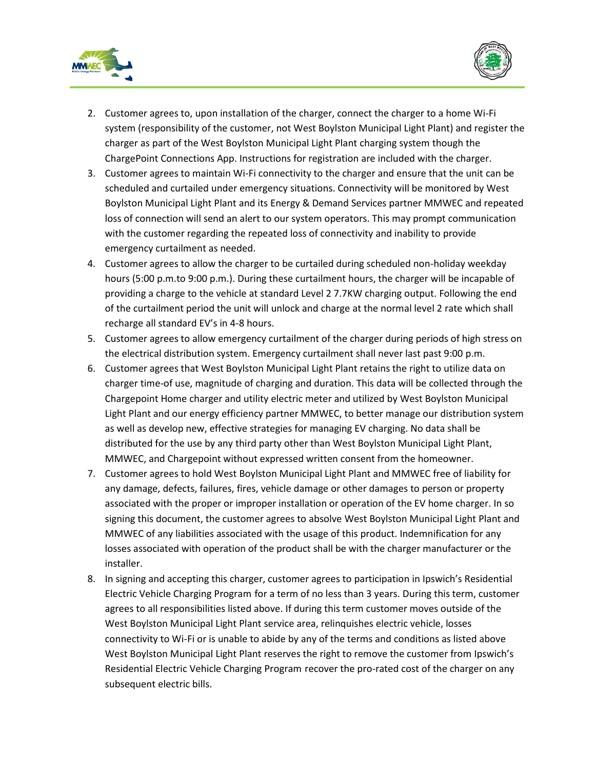



- 2. Customer agrees to, upon installation of the charger, connect the charger to a home Wi-Fi system (responsibility of the customer, not West Boylston Municipal Light Plant) and register the charger as part of the West Boylston Municipal Light Plant charging system though the ChargePoint Connections App. Instructions for registration are included with the charger.
- scheduled and curtailed under emergency situations. Connectivity will be monitored by West 3. Customer agrees to maintain Wi-Fi connectivity to the charger and ensure that the unit can be Boylston Municipal Light Plant and its Energy & Demand Services partner MMWEC and repeated loss of connection will send an alert to our system operators. This may prompt communication with the customer regarding the repeated loss of connectivity and inability to provide emergency curtailment as needed.
- hours (5:00 p.m.to 9:00 p.m.). During these curtailment hours, the charger will be incapable of providing a charge to the vehicle at standard Level 2 7.7KW charging output. Following the end of the curtailment period the unit will unlock and charge at the normal level 2 rate which shall 4. Customer agrees to allow the charger to be curtailed during scheduled non-holiday weekday recharge all standard EV's in 4-8 hours.
- the electrical distribution system. Emergency curtailment shall never last past 9:00 p.m. 5. Customer agrees to allow emergency curtailment of the charger during periods of high stress on
- 6. Customer agrees that West Boylston Municipal Light Plant retains the right to utilize data on Chargepoint Home charger and utility electric meter and utilized by West Boylston Municipal as well as develop new, effective strategies for managing EV charging. No data shall be distributed for the use by any third party other than West Boylston Municipal Light Plant, charger time-of use, magnitude of charging and duration. This data will be collected through the Light Plant and our energy efficiency partner MMWEC, to better manage our distribution system MMWEC, and Chargepoint without expressed written consent from the homeowner.
- any damage, defects, failures, fires, vehicle damage or other damages to person or property signing this document, the customer agrees to absolve West Boylston Municipal Light Plant and installer. 7. Customer agrees to hold West Boylston Municipal Light Plant and MMWEC free of liability for associated with the proper or improper installation or operation of the EV home charger. In so MMWEC of any liabilities associated with the usage of this product. Indemnification for any losses associated with operation of the product shall be with the charger manufacturer or the
- 8. In signing and accepting this charger, customer agrees to participation in Ipswich's Residential West Boylston Municipal Light Plant reserves the right to remove the customer from Ipswich's Electric Vehicle Charging Program for a term of no less than 3 years. During this term, customer agrees to all responsibilities listed above. If during this term customer moves outside of the West Boylston Municipal Light Plant service area, relinquishes electric vehicle, losses connectivity to Wi-Fi or is unable to abide by any of the terms and conditions as listed above Residential Electric Vehicle Charging Program recover the pro-rated cost of the charger on any subsequent electric bills.